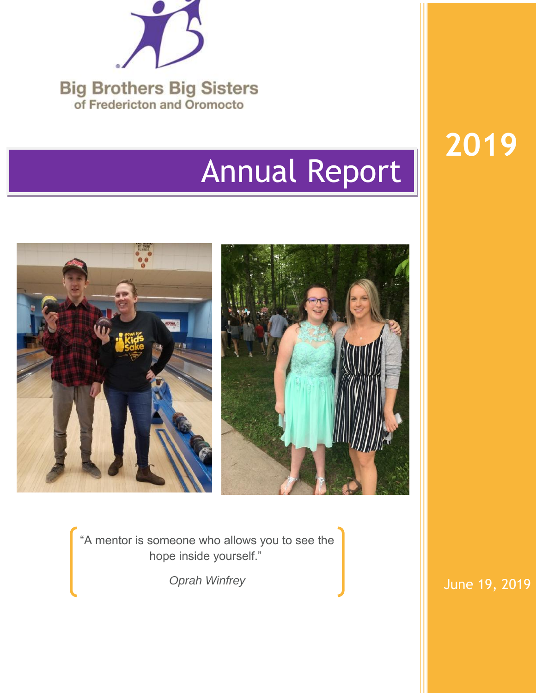

# Annual Report

**2019**



"A mentor is someone who allows you to see the hope inside yourself."

*Oprah Winfrey*

June 19, 2019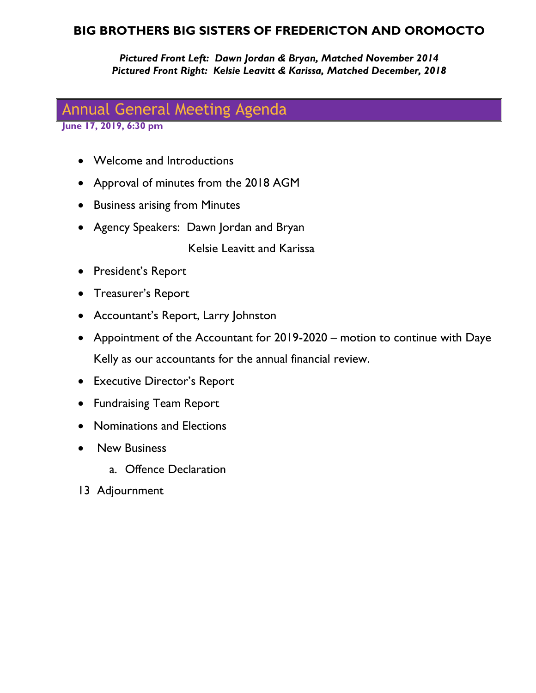### **BIG BROTHERS BIG SISTERS OF FREDERICTON AND OROMOCTO**

*Pictured Front Left: Dawn Jordan & Bryan, Matched November 2014 Pictured Front Right: Kelsie Leavitt & Karissa, Matched December, 2018*

# Annual General Meeting Agenda

**June 17, 2019, 6:30 pm**

- Welcome and Introductions
- Approval of minutes from the 2018 AGM
- Business arising from Minutes
- Agency Speakers: Dawn Jordan and Bryan

Kelsie Leavitt and Karissa

- President's Report
- Treasurer's Report
- Accountant's Report, Larry Johnston
- Appointment of the Accountant for 2019-2020 motion to continue with Daye Kelly as our accountants for the annual financial review.
- Executive Director's Report
- Fundraising Team Report
- Nominations and Elections
- **•** New Business
	- a. Offence Declaration
- 13 Adjournment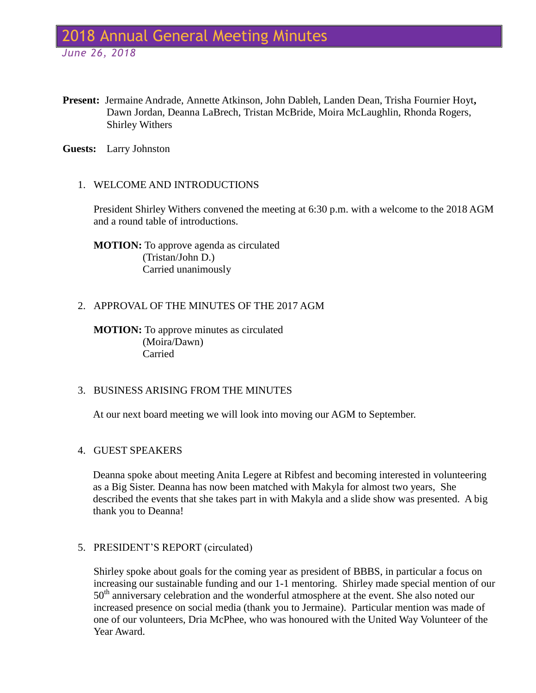# 2018 Annual General Meeting Minutes

*June 26, 2018*

**Present:** Jermaine Andrade, Annette Atkinson, John Dableh, Landen Dean, Trisha Fournier Hoyt**,**  Dawn Jordan, Deanna LaBrech, Tristan McBride, Moira McLaughlin, Rhonda Rogers, Shirley Withers

**Guests:** Larry Johnston

### 1. WELCOME AND INTRODUCTIONS

President Shirley Withers convened the meeting at 6:30 p.m. with a welcome to the 2018 AGM and a round table of introductions.

**MOTION:** To approve agenda as circulated (Tristan/John D.) Carried unanimously

### 2. APPROVAL OF THE MINUTES OF THE 2017 AGM

**MOTION:** To approve minutes as circulated (Moira/Dawn) Carried

### 3. BUSINESS ARISING FROM THE MINUTES

At our next board meeting we will look into moving our AGM to September.

### 4. GUEST SPEAKERS

Deanna spoke about meeting Anita Legere at Ribfest and becoming interested in volunteering as a Big Sister. Deanna has now been matched with Makyla for almost two years, She described the events that she takes part in with Makyla and a slide show was presented. A big thank you to Deanna!

### 5. PRESIDENT'S REPORT (circulated)

Shirley spoke about goals for the coming year as president of BBBS, in particular a focus on increasing our sustainable funding and our 1-1 mentoring. Shirley made special mention of our 50<sup>th</sup> anniversary celebration and the wonderful atmosphere at the event. She also noted our increased presence on social media (thank you to Jermaine). Particular mention was made of one of our volunteers, Dria McPhee, who was honoured with the United Way Volunteer of the Year Award.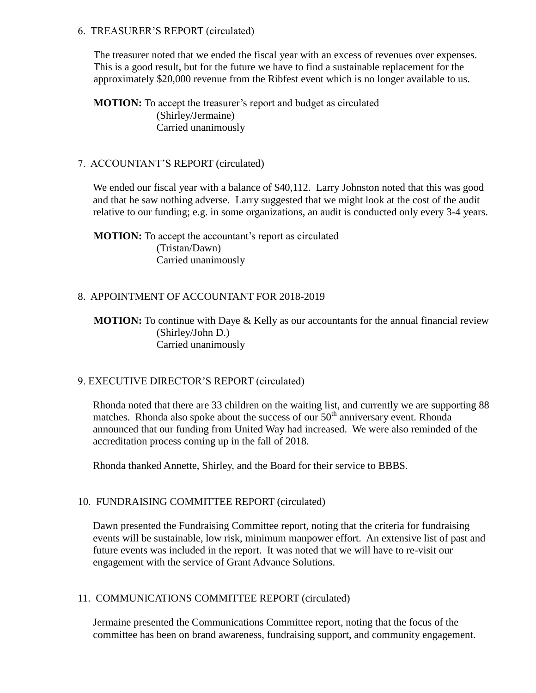### 6. TREASURER'S REPORT (circulated)

The treasurer noted that we ended the fiscal year with an excess of revenues over expenses. This is a good result, but for the future we have to find a sustainable replacement for the approximately \$20,000 revenue from the Ribfest event which is no longer available to us.

**MOTION:** To accept the treasurer's report and budget as circulated (Shirley/Jermaine) Carried unanimously

### 7. ACCOUNTANT'S REPORT (circulated)

We ended our fiscal year with a balance of \$40,112. Larry Johnston noted that this was good and that he saw nothing adverse. Larry suggested that we might look at the cost of the audit relative to our funding; e.g. in some organizations, an audit is conducted only every 3-4 years.

**MOTION:** To accept the accountant's report as circulated (Tristan/Dawn) Carried unanimously

### 8. APPOINTMENT OF ACCOUNTANT FOR 2018-2019

**MOTION:** To continue with Daye & Kelly as our accountants for the annual financial review (Shirley/John D.) Carried unanimously

### 9. EXECUTIVE DIRECTOR'S REPORT (circulated)

Rhonda noted that there are 33 children on the waiting list, and currently we are supporting 88 matches. Rhonda also spoke about the success of our  $50<sup>th</sup>$  anniversary event. Rhonda announced that our funding from United Way had increased. We were also reminded of the accreditation process coming up in the fall of 2018.

Rhonda thanked Annette, Shirley, and the Board for their service to BBBS.

### 10. FUNDRAISING COMMITTEE REPORT (circulated)

Dawn presented the Fundraising Committee report, noting that the criteria for fundraising events will be sustainable, low risk, minimum manpower effort. An extensive list of past and future events was included in the report. It was noted that we will have to re-visit our engagement with the service of Grant Advance Solutions.

### 11. COMMUNICATIONS COMMITTEE REPORT (circulated)

Jermaine presented the Communications Committee report, noting that the focus of the committee has been on brand awareness, fundraising support, and community engagement.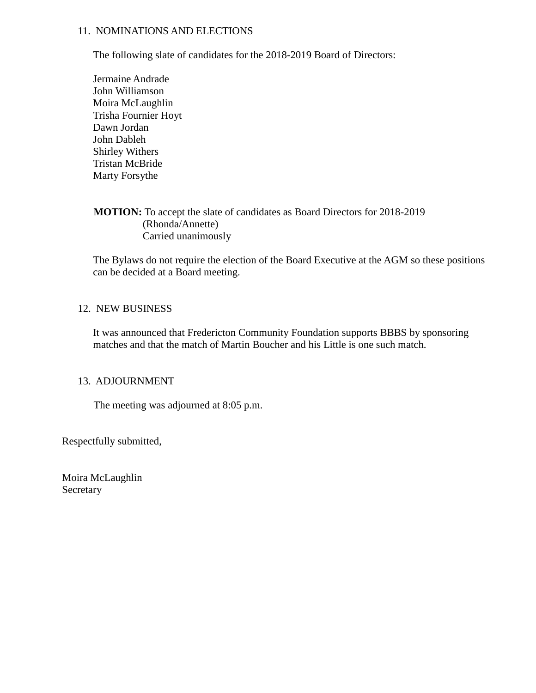### 11. NOMINATIONS AND ELECTIONS

The following slate of candidates for the 2018-2019 Board of Directors:

Jermaine Andrade John Williamson Moira McLaughlin Trisha Fournier Hoyt Dawn Jordan John Dableh Shirley Withers Tristan McBride Marty Forsythe

### **MOTION:** To accept the slate of candidates as Board Directors for 2018-2019 (Rhonda/Annette) Carried unanimously

The Bylaws do not require the election of the Board Executive at the AGM so these positions can be decided at a Board meeting.

### 12. NEW BUSINESS

It was announced that Fredericton Community Foundation supports BBBS by sponsoring matches and that the match of Martin Boucher and his Little is one such match.

### 13. ADJOURNMENT

The meeting was adjourned at 8:05 p.m.

Respectfully submitted,

Moira McLaughlin Secretary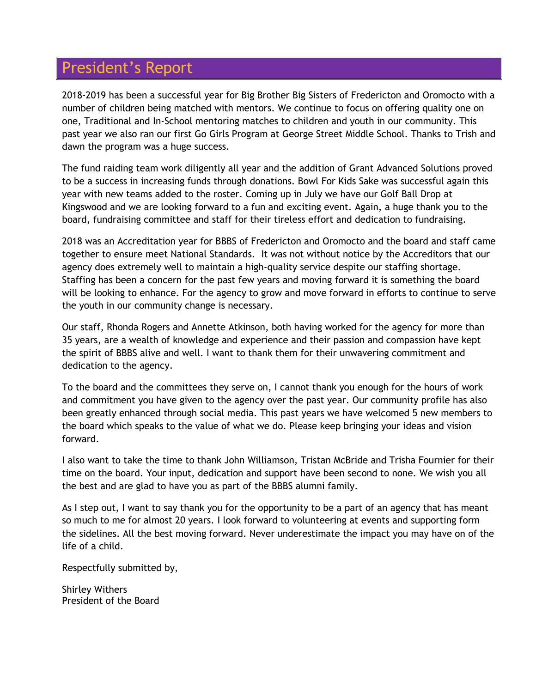# President's Report

2018-2019 has been a successful year for Big Brother Big Sisters of Fredericton and Oromocto with a number of children being matched with mentors. We continue to focus on offering quality one on one, Traditional and In-School mentoring matches to children and youth in our community. This past year we also ran our first Go Girls Program at George Street Middle School. Thanks to Trish and dawn the program was a huge success.

The fund raiding team work diligently all year and the addition of Grant Advanced Solutions proved to be a success in increasing funds through donations. Bowl For Kids Sake was successful again this year with new teams added to the roster. Coming up in July we have our Golf Ball Drop at Kingswood and we are looking forward to a fun and exciting event. Again, a huge thank you to the board, fundraising committee and staff for their tireless effort and dedication to fundraising.

2018 was an Accreditation year for BBBS of Fredericton and Oromocto and the board and staff came together to ensure meet National Standards. It was not without notice by the Accreditors that our agency does extremely well to maintain a high-quality service despite our staffing shortage. Staffing has been a concern for the past few years and moving forward it is something the board will be looking to enhance. For the agency to grow and move forward in efforts to continue to serve the youth in our community change is necessary.

Our staff, Rhonda Rogers and Annette Atkinson, both having worked for the agency for more than 35 years, are a wealth of knowledge and experience and their passion and compassion have kept the spirit of BBBS alive and well. I want to thank them for their unwavering commitment and dedication to the agency.

To the board and the committees they serve on, I cannot thank you enough for the hours of work and commitment you have given to the agency over the past year. Our community profile has also been greatly enhanced through social media. This past years we have welcomed 5 new members to the board which speaks to the value of what we do. Please keep bringing your ideas and vision forward.

I also want to take the time to thank John Williamson, Tristan McBride and Trisha Fournier for their time on the board. Your input, dedication and support have been second to none. We wish you all the best and are glad to have you as part of the BBBS alumni family.

As I step out, I want to say thank you for the opportunity to be a part of an agency that has meant so much to me for almost 20 years. I look forward to volunteering at events and supporting form the sidelines. All the best moving forward. Never underestimate the impact you may have on of the life of a child.

Respectfully submitted by,

Shirley Withers President of the Board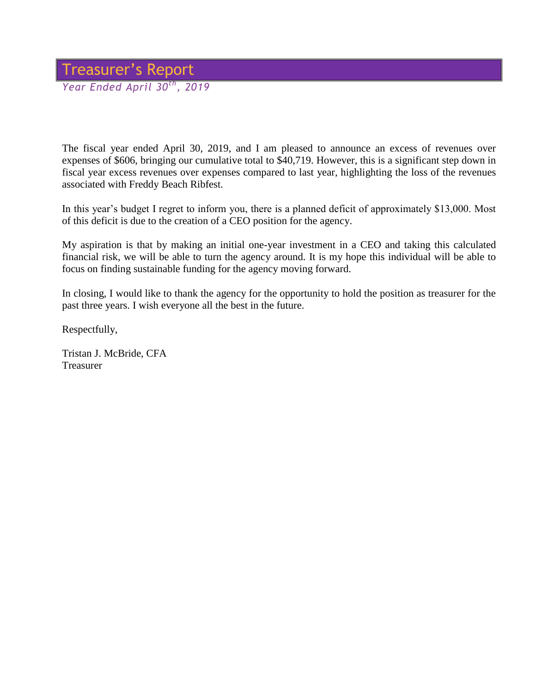### Treasurer's Report *Year Ended April 30th, 2019*

The fiscal year ended April 30, 2019, and I am pleased to announce an excess of revenues over expenses of \$606, bringing our cumulative total to \$40,719. However, this is a significant step down in fiscal year excess revenues over expenses compared to last year, highlighting the loss of the revenues associated with Freddy Beach Ribfest.

In this year's budget I regret to inform you, there is a planned deficit of approximately \$13,000. Most of this deficit is due to the creation of a CEO position for the agency.

My aspiration is that by making an initial one-year investment in a CEO and taking this calculated financial risk, we will be able to turn the agency around. It is my hope this individual will be able to focus on finding sustainable funding for the agency moving forward.

In closing, I would like to thank the agency for the opportunity to hold the position as treasurer for the past three years. I wish everyone all the best in the future.

Respectfully,

Tristan J. McBride, CFA Treasurer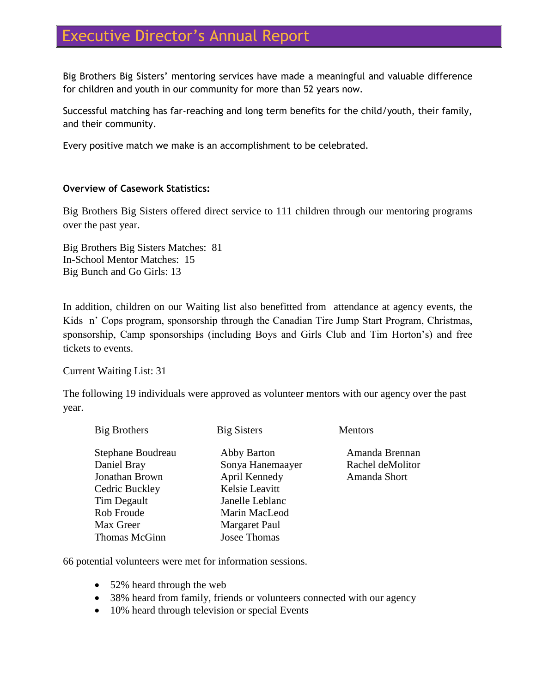# Executive Director's Annual Report

Big Brothers Big Sisters' mentoring services have made a meaningful and valuable difference for children and youth in our community for more than 52 years now.

Successful matching has far-reaching and long term benefits for the child/youth, their family, and their community.

Every positive match we make is an accomplishment to be celebrated.

### **Overview of Casework Statistics:**

Big Brothers Big Sisters offered direct service to 111 children through our mentoring programs over the past year.

Big Brothers Big Sisters Matches: 81 In-School Mentor Matches: 15 Big Bunch and Go Girls: 13

In addition, children on our Waiting list also benefitted from attendance at agency events, the Kids n' Cops program, sponsorship through the Canadian Tire Jump Start Program, Christmas, sponsorship, Camp sponsorships (including Boys and Girls Club and Tim Horton's) and free tickets to events.

Current Waiting List: 31

The following 19 individuals were approved as volunteer mentors with our agency over the past year.

| Big Brothers      | <b>Big Sisters</b>   | <b>Mentors</b>   |
|-------------------|----------------------|------------------|
| Stephane Boudreau | Abby Barton          | Amanda Brennan   |
| Daniel Bray       | Sonya Hanemaayer     | Rachel deMolitor |
| Jonathan Brown    | April Kennedy        | Amanda Short     |
| Cedric Buckley    | Kelsie Leavitt       |                  |
| Tim Degault       | Janelle Leblanc      |                  |
| Rob Froude        | Marin MacLeod        |                  |
| Max Greer         | <b>Margaret Paul</b> |                  |
| Thomas McGinn     | Josee Thomas         |                  |

66 potential volunteers were met for information sessions.

- 52% heard through the web
- 38% heard from family, friends or volunteers connected with our agency
- 10% heard through television or special Events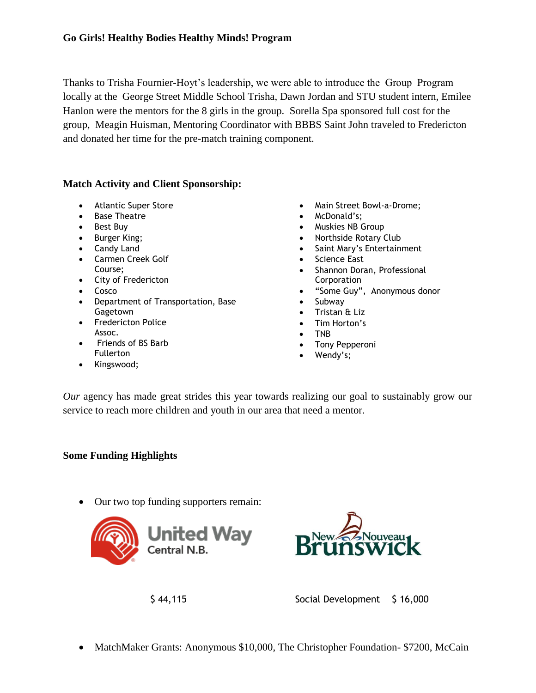Thanks to Trisha Fournier-Hoyt's leadership, we were able to introduce the Group Program locally at the George Street Middle School Trisha, Dawn Jordan and STU student intern, Emilee Hanlon were the mentors for the 8 girls in the group. Sorella Spa sponsored full cost for the group, Meagin Huisman, Mentoring Coordinator with BBBS Saint John traveled to Fredericton and donated her time for the pre-match training component.

### **Match Activity and Client Sponsorship:**

- Atlantic Super Store
- Base Theatre
- Best Buy
- Burger King:
- Candy Land
- Carmen Creek Golf Course;
- City of Fredericton
- Cosco
- Department of Transportation, Base Gagetown
- Fredericton Police Assoc.
- Friends of BS Barb Fullerton
- Kingswood;
- Main Street Bowl-a-Drome;
- McDonald's;
- Muskies NB Group
- Northside Rotary Club
- Saint Mary's Entertainment
- Science East
- Shannon Doran, Professional **Corporation**
- "Some Guy", Anonymous donor
- Subway
- Tristan & Liz
- Tim Horton's
- TNB
- Tony Pepperoni
- Wendy's;

*Our* agency has made great strides this year towards realizing our goal to sustainably grow our service to reach more children and youth in our area that need a mentor.

### **Some Funding Highlights**

Our two top funding supporters remain:





\$ 44,115 Social Development \$ 16,000

• MatchMaker Grants: Anonymous \$10,000, The Christopher Foundation- \$7200, McCain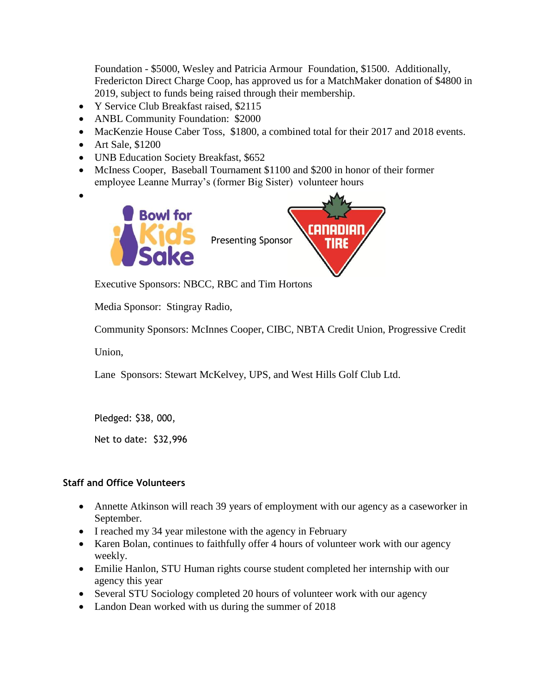Foundation - \$5000, Wesley and Patricia Armour Foundation, \$1500. Additionally, Fredericton Direct Charge Coop, has approved us for a MatchMaker donation of \$4800 in 2019, subject to funds being raised through their membership.

- Y Service Club Breakfast raised, \$2115
- ANBL Community Foundation: \$2000
- MacKenzie House Caber Toss, \$1800, a combined total for their 2017 and 2018 events.
- Art Sale, \$1200
- UNB Education Society Breakfast, \$652
- McIness Cooper, Baseball Tournament \$1100 and \$200 in honor of their former employee Leanne Murray's (former Big Sister) volunteer hours
- $\bullet$



Executive Sponsors: NBCC, RBC and Tim Hortons

Media Sponsor: Stingray Radio,

Community Sponsors: McInnes Cooper, CIBC, NBTA Credit Union, Progressive Credit

Union,

Lane Sponsors: Stewart McKelvey, UPS, and West Hills Golf Club Ltd.

Pledged: \$38, 000,

Net to date: \$32,996

### **Staff and Office Volunteers**

- Annette Atkinson will reach 39 years of employment with our agency as a caseworker in September.
- I reached my 34 year milestone with the agency in February
- Karen Bolan, continues to faithfully offer 4 hours of volunteer work with our agency weekly.
- Emilie Hanlon, STU Human rights course student completed her internship with our agency this year
- Several STU Sociology completed 20 hours of volunteer work with our agency
- Landon Dean worked with us during the summer of 2018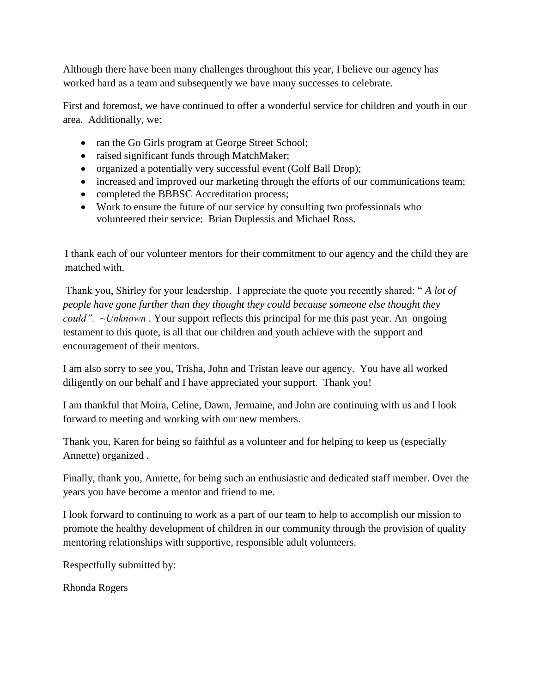Although there have been many challenges throughout this year, I believe our agency has worked hard as a team and subsequently we have many successes to celebrate.

First and foremost, we have continued to offer a wonderful service for children and youth in our area. Additionally, we:

- ran the Go Girls program at George Street School;
- raised significant funds through MatchMaker;
- organized a potentially very successful event (Golf Ball Drop);
- increased and improved our marketing through the efforts of our communications team;
- completed the BBBSC Accreditation process;
- Work to ensure the future of our service by consulting two professionals who volunteered their service: Brian Duplessis and Michael Ross.

I thank each of our volunteer mentors for their commitment to our agency and the child they are matched with.

Thank you, Shirley for your leadership. I appreciate the quote you recently shared: " *A lot of people have gone further than they thought they could because someone else thought they could". ~Unknown* . Your support reflects this principal for me this past year. An ongoing testament to this quote, is all that our children and youth achieve with the support and encouragement of their mentors.

I am also sorry to see you, Trisha, John and Tristan leave our agency. You have all worked diligently on our behalf and I have appreciated your support. Thank you!

I am thankful that Moira, Celine, Dawn, Jermaine, and John are continuing with us and I look forward to meeting and working with our new members.

Thank you, Karen for being so faithful as a volunteer and for helping to keep us (especially Annette) organized .

Finally, thank you, Annette, for being such an enthusiastic and dedicated staff member. Over the years you have become a mentor and friend to me.

I look forward to continuing to work as a part of our team to help to accomplish our mission to promote the healthy development of children in our community through the provision of quality mentoring relationships with supportive, responsible adult volunteers.

Respectfully submitted by:

Rhonda Rogers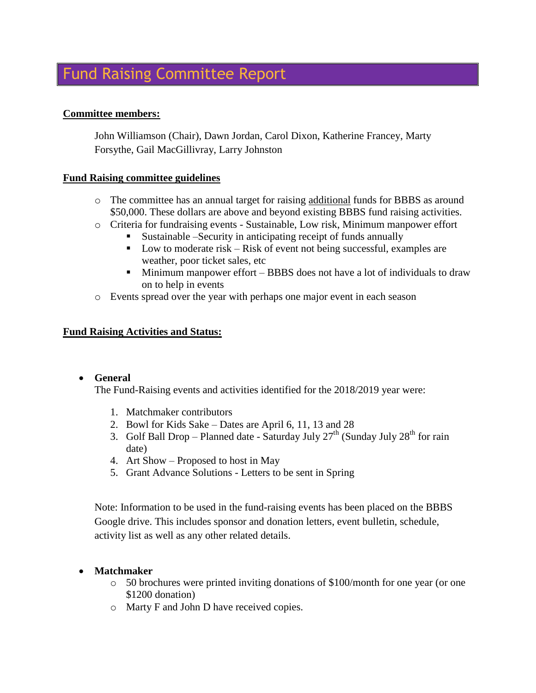# Fund Raising Committee Report

### **Committee members:**

John Williamson (Chair), Dawn Jordan, Carol Dixon, Katherine Francey, Marty Forsythe, Gail MacGillivray, Larry Johnston

### **Fund Raising committee guidelines**

- o The committee has an annual target for raising additional funds for BBBS as around \$50,000. These dollars are above and beyond existing BBBS fund raising activities.
- o Criteria for fundraising events Sustainable, Low risk, Minimum manpower effort
	- Sustainable –Security in anticipating receipt of funds annually
	- $\blacksquare$  Low to moderate risk Risk of event not being successful, examples are weather, poor ticket sales, etc
	- Minimum manpower effort BBBS does not have a lot of individuals to draw on to help in events
- o Events spread over the year with perhaps one major event in each season

### **Fund Raising Activities and Status:**

### **General**

The Fund-Raising events and activities identified for the 2018/2019 year were:

- 1. Matchmaker contributors
- 2. Bowl for Kids Sake Dates are April 6, 11, 13 and 28
- 3. Golf Ball Drop Planned date Saturday July  $27<sup>th</sup>$  (Sunday July  $28<sup>th</sup>$  for rain date)
- 4. Art Show Proposed to host in May
- 5. Grant Advance Solutions Letters to be sent in Spring

Note: Information to be used in the fund-raising events has been placed on the BBBS Google drive. This includes sponsor and donation letters, event bulletin, schedule, activity list as well as any other related details.

### **Matchmaker**

- $\circ$  50 brochures were printed inviting donations of \$100/month for one year (or one \$1200 donation)
- o Marty F and John D have received copies.